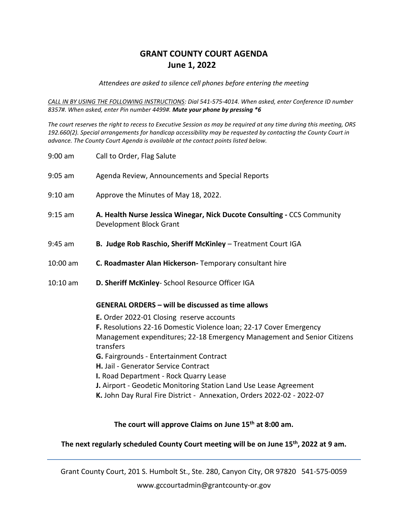## **GRANT COUNTY COURT AGENDA June 1, 2022**

*Attendees are asked to silence cell phones before entering the meeting*

*CALL IN BY USING THE FOLLOWING INSTRUCTIONS: Dial 541-575-4014. When asked, enter Conference ID number 8357#. When asked, enter Pin number 4499#. Mute your phone by pressing \*6*

*The court reserves the right to recess to Executive Session as may be required at any time during this meeting, ORS 192.660(2). Special arrangements for handicap accessibility may be requested by contacting the County Court in advance. The County Court Agenda is available at the contact points listed below.*

| 9:00 am    | Call to Order, Flag Salute                                                                                                                                                                                                                                                                                                                                                                                                                                                                                                                      |
|------------|-------------------------------------------------------------------------------------------------------------------------------------------------------------------------------------------------------------------------------------------------------------------------------------------------------------------------------------------------------------------------------------------------------------------------------------------------------------------------------------------------------------------------------------------------|
| 9:05 am    | Agenda Review, Announcements and Special Reports                                                                                                                                                                                                                                                                                                                                                                                                                                                                                                |
| $9:10$ am  | Approve the Minutes of May 18, 2022.                                                                                                                                                                                                                                                                                                                                                                                                                                                                                                            |
| 9:15 am    | A. Health Nurse Jessica Winegar, Nick Ducote Consulting - CCS Community<br>Development Block Grant                                                                                                                                                                                                                                                                                                                                                                                                                                              |
| 9:45 am    | B. Judge Rob Raschio, Sheriff McKinley - Treatment Court IGA                                                                                                                                                                                                                                                                                                                                                                                                                                                                                    |
| 10:00 am   | C. Roadmaster Alan Hickerson- Temporary consultant hire                                                                                                                                                                                                                                                                                                                                                                                                                                                                                         |
| $10:10$ am | D. Sheriff McKinley- School Resource Officer IGA                                                                                                                                                                                                                                                                                                                                                                                                                                                                                                |
|            | <b>GENERAL ORDERS - will be discussed as time allows</b><br>E. Order 2022-01 Closing reserve accounts<br>F. Resolutions 22-16 Domestic Violence loan; 22-17 Cover Emergency<br>Management expenditures; 22-18 Emergency Management and Senior Citizens<br>transfers<br>G. Fairgrounds - Entertainment Contract<br>H. Jail - Generator Service Contract<br>I. Road Department - Rock Quarry Lease<br>J. Airport - Geodetic Monitoring Station Land Use Lease Agreement<br>K. John Day Rural Fire District - Annexation, Orders 2022-02 - 2022-07 |

**The court will approve Claims on June 15th at 8:00 am.**

## **The next regularly scheduled County Court meeting will be on June 15th, 2022 at 9 am.**

Grant County Court, 201 S. Humbolt St., Ste. 280, Canyon City, OR 97820 541-575-0059

www.gccourtadmin@grantcounty-or.gov